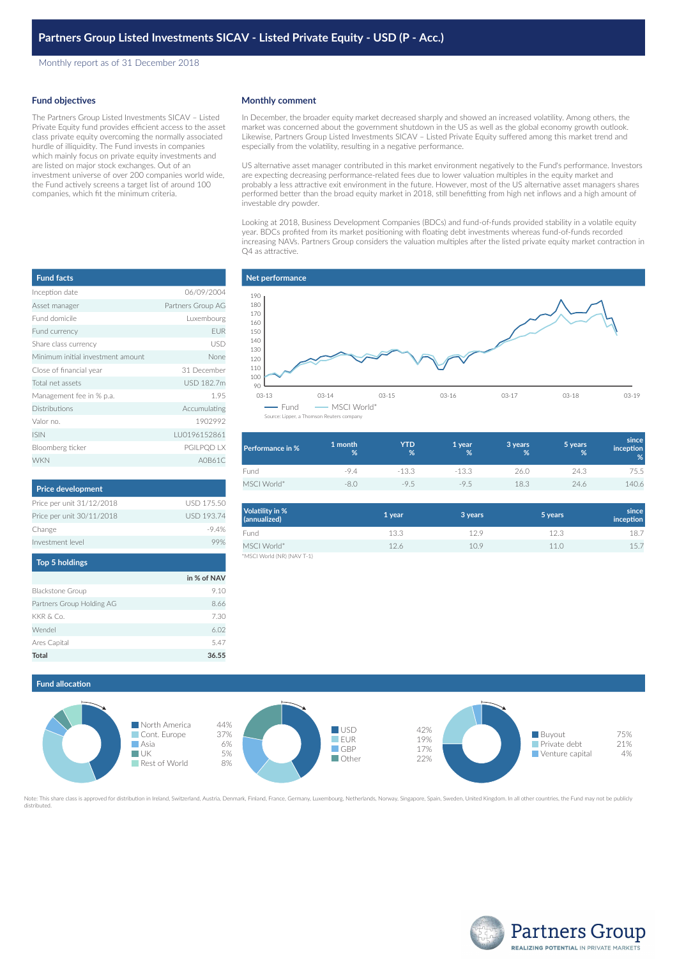Monthly report as of 31 December 2018

## **Fund objectives**

The Partners Group Listed Investments SICAV – Listed Private Equity fund provides efficient access to the asset class private equity overcoming the normally associated hurdle of illiquidity. The Fund invests in companies which mainly focus on private equity investments and are listed on major stock exchanges. Out of an investment universe of over 200 companies world wide, the Fund actively screens a target list of around 100 companies, which fit the minimum criteria.

| <b>Fund facts</b>                 |                   |
|-----------------------------------|-------------------|
| Inception date                    | 06/09/2004        |
| Asset manager                     | Partners Group AG |
| Fund domicile                     | Luxembourg        |
| Fund currency                     | <b>EUR</b>        |
| Share class currency              | USD               |
| Minimum initial investment amount | None              |
| Close of financial year           | 31 December       |
| Total net assets                  | USD 182.7m        |
| Management fee in % p.a.          | 1.95              |
| <b>Distributions</b>              | Accumulating      |
| Valor no.                         | 1902992           |
| <b>ISIN</b>                       | LU0196152861      |
| Bloomberg ticker                  | PGILPQD LX        |
| <b>WKN</b>                        | A0B61C            |

| <b>Price development</b>  |                   |
|---------------------------|-------------------|
| Price per unit 31/12/2018 | USD 175.50        |
| Price per unit 30/11/2018 | <b>USD 193.74</b> |
| Change                    | $-94%$            |
| Investment level          |                   |
| <b>Top 5 holdings</b>     |                   |

|                           | in % of NAV |
|---------------------------|-------------|
| <b>Blackstone Group</b>   | 9.10        |
| Partners Group Holding AG | 8.66        |
| KKR & Co.                 | 7.30        |
| Wendel                    | 6.02        |
| Ares Capital              | 5.47        |
| Total                     | 36.55       |

### **Monthly comment**

In December, the broader equity market decreased sharply and showed an increased volatility. Among others, the market was concerned about the government shutdown in the US as well as the global economy growth outlook. Likewise, Partners Group Listed Investments SICAV – Listed Private Equity suffered among this market trend and especially from the volatility, resulting in a negative performance.

US alternative asset manager contributed in this market environment negatively to the Fund's performance. Investors are expecting decreasing performance-related fees due to lower valuation multiples in the equity market and probably a less attractive exit environment in the future. However, most of the US alternative asset managers shares performed better than the broad equity market in 2018, still benefitting from high net inflows and a high amount of investable dry powder.

Looking at 2018, Business Development Companies (BDCs) and fund-of-funds provided stability in a volatile equity year. BDCs profited from its market positioning with floating debt investments whereas fund-of-funds recorded increasing NAVs. Partners Group considers the valuation multiples after the listed private equity market contraction in Q4 as attractive.



| Performance in % | 1 month<br>% | YTD<br>$\%$ | 1 year<br>% | 3 years<br>% | 5 years<br>% | since<br><i>inception</i><br>% |
|------------------|--------------|-------------|-------------|--------------|--------------|--------------------------------|
| Fund             | -9.4         | $-13.3$     | $-13.3$     | 26.0         | 24.3         | 75.5                           |
| MSCI World*      |              | $-9.5$      | $-9.5$      | 18.3         | 24.6         | 140.6                          |

| Volatility in %<br>(annualized) | 1 year | 3 years | 5 years | since<br>inception |
|---------------------------------|--------|---------|---------|--------------------|
| Fund                            | 13.3   | 129     | 12.3    | 18.7               |
| MSCI World*                     | 12.6   | 10.9    | 11.0    | 15.7               |
| *MSCI World (NR) (NAV T-1)      |        |         |         |                    |





te: This share class is approved for distribution in Ireland, Switzerland, Austria, Denmark, Finland, France, Germany, Luxembourg, Netherlands, Norway, Singapore, Spain, Sweden, United Kingdom. In all other countries, the distributed